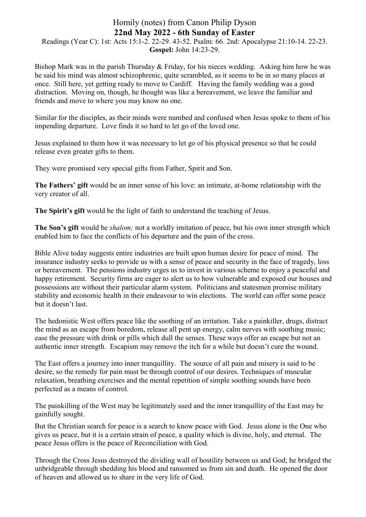## Homily (notes) from Canon Philip Dyson **22nd May 2022 - 6th Sunday of Easter**

Readings (Year C): 1st: Acts 15:1-2. 22-29. 43-52. Psalm: 66. 2nd: Apocalypse 21:10-14. 22-23. **Gospel:** John 14:23-29.

Bishop Mark was in the parish Thursday & Friday, for his nieces wedding. Asking him how he was he said his mind was almost schizophrenic, quite scrambled, as it seems to be in so many places at once. Still here, yet getting ready to move to Cardiff. Having the family wedding was a good distraction. Moving on, though, he thought was like a bereavement, we leave the familiar and friends and move to where you may know no one.

Similar for the disciples, as their minds were numbed and confused when Jesus spoke to them of his impending departure. Love finds it so hard to let go of the loved one.

Jesus explained to them how it was necessary to let go of his physical presence so that he could release even greater gifts to them.

They were promised very special gifts from Father, Spirit and Son.

**The Fathers' gift** would be an inner sense of his love: an intimate, at-home relationship with the very creator of all.

**The Spirit's gift** would be the light of faith to understand the teaching of Jesus.

**The Son's gift** would be *shalom;* not a worldly imitation of peace, but his own inner strength which enabled him to face the conflicts of his departure and the pain of the cross.

Bible Alive today suggests entire industries are built upon human desire for peace of mind. The insurance industry seeks to provide us with a sense of peace and security in the face of tragedy, loss or bereavement. The pensions industry urges us to invest in various scheme to enjoy a peaceful and happy retirement. Security firms are eager to alert us to how vulnerable and exposed our houses and possessions are without their particular alarm system. Politicians and statesmen promise military stability and economic health in their endeavour to win elections. The world can offer some peace but it doesn't last.

The hedonistic West offers peace like the soothing of an irritation. Take a painkiller, drugs, distract the mind as an escape from boredom, release all pent up energy, calm nerves with soothing music; ease the pressure with drink or pills which dull the senses. These ways offer an escape but not an authentic inner strength. Escapism may remove the itch for a while but doesn't cure the wound.

The East offers a journey into inner tranquillity. The source of all pain and misery is said to be desire, so the remedy for pain must be through control of our desires. Techniques of muscular relaxation, breathing exercises and the mental repetition of simple soothing sounds have been perfected as a means of control.

The painkilling of the West may be legitimately used and the inner tranquillity of the East may be gainfully sought.

But the Christian search for peace is a search to know peace with God. Jesus alone is the One who gives us peace, but it is a certain strain of peace, a quality which is divine, holy, and eternal. The peace Jesus offers is the peace of Reconciliation with God.

Through the Cross Jesus destroyed the dividing wall of hostility between us and God; he bridged the unbridgeable through shedding his blood and ransomed us from sin and death. He opened the door of heaven and allowed us to share in the very life of God.